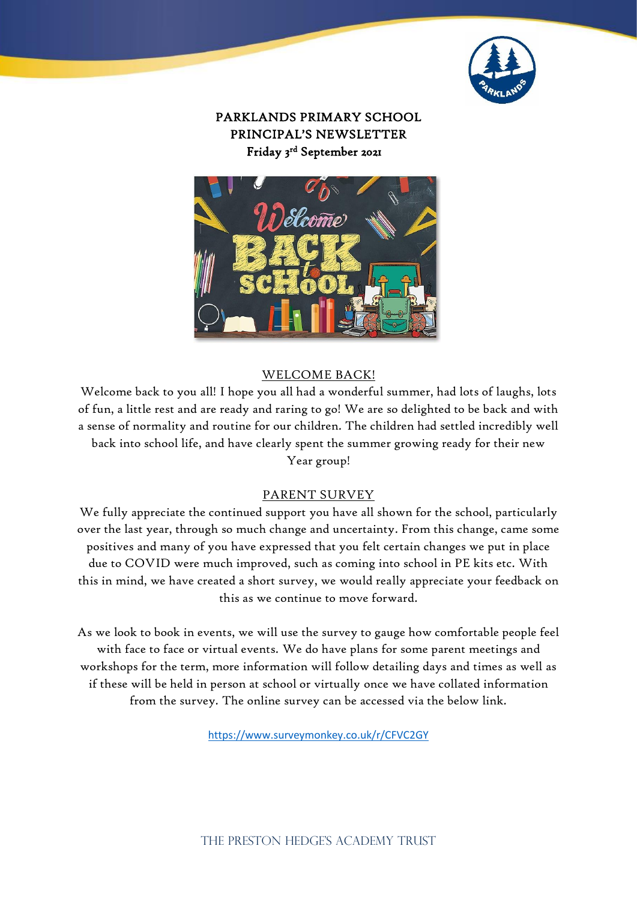

## PARKLANDS PRIMARY SCHOOL PRINCIPAL'S NEWSLETTER Friday 3 rd September 2021



## WELCOME BACK!

Welcome back to you all! I hope you all had a wonderful summer, had lots of laughs, lots of fun, a little rest and are ready and raring to go! We are so delighted to be back and with a sense of normality and routine for our children. The children had settled incredibly well back into school life, and have clearly spent the summer growing ready for their new Year group!

#### PARENT SURVEY

We fully appreciate the continued support you have all shown for the school, particularly over the last year, through so much change and uncertainty. From this change, came some positives and many of you have expressed that you felt certain changes we put in place due to COVID were much improved, such as coming into school in PE kits etc. With this in mind, we have created a short survey, we would really appreciate your feedback on this as we continue to move forward.

As we look to book in events, we will use the survey to gauge how comfortable people feel with face to face or virtual events. We do have plans for some parent meetings and workshops for the term, more information will follow detailing days and times as well as if these will be held in person at school or virtually once we have collated information from the survey. The online survey can be accessed via the below link.

<https://www.surveymonkey.co.uk/r/CFVC2GY>

THE PRESTON HEDGE'S ACADEMY TRUST